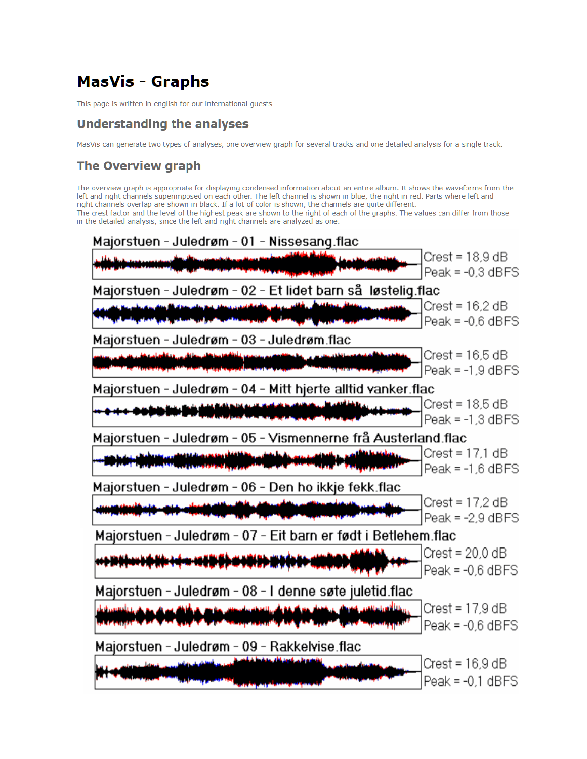# **MasVis - Graphs**

This page is written in english for our international guests

## **Understanding the analyses**

MasVis can generate two types of analyses, one overview graph for several tracks and one detailed analysis for a single track.

## **The Overview graph**

The overview graph is appropriate for displaying condensed information about an entire album. It shows the waveforms from the left and right channels superimposed on each other. The left channel is shown in blue, the right in red. Parts where left and right channels overlap are shown in black. If a lot of color is shown, the channels are quite different. The crest factor and the level of the highest peak are shown to the right of each of the graphs. The values can differ from those in the detailed analysis, since the left and right channels are analyzed as one.

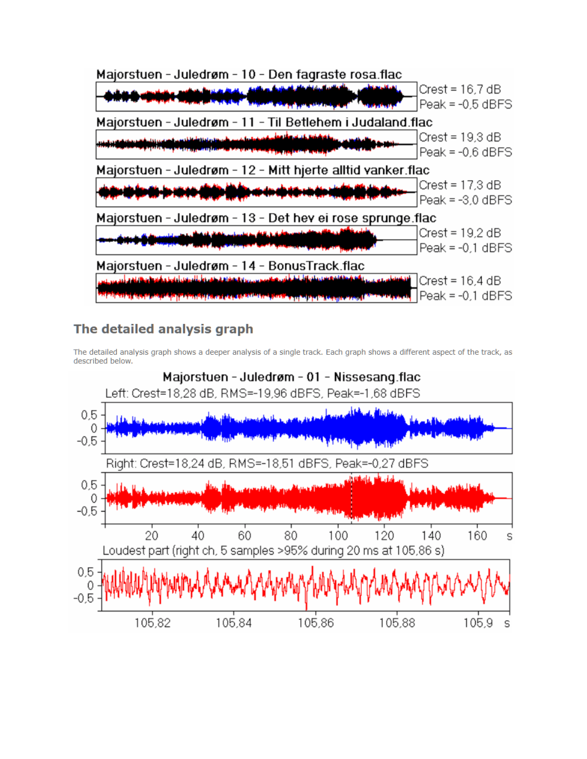

## The detailed analysis graph

The detailed analysis graph shows a deeper analysis of a single track. Each graph shows a different aspect of the track, as described below.

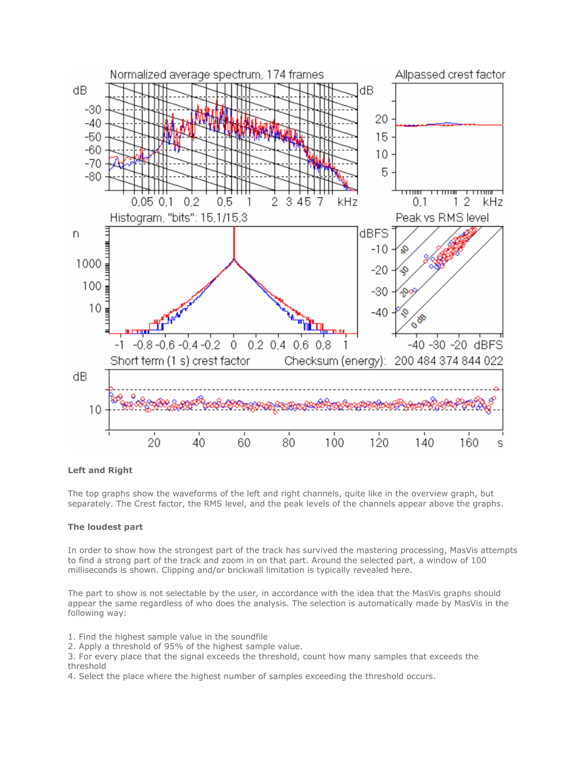

#### **Left and Right**

The top graphs show the waveforms of the left and right channels, quite like in the overview graph, but separately. The Crest factor, the RMS level, and the peak levels of the channels appear above the graphs.

#### **The loudest part**

In order to show how the strongest part of the track has survived the mastering processing, MasVis attempts to find a strong part of the track and zoom in on that part. Around the selected part, a window of 100 milliseconds is shown. Clipping and/or brickwall limitation is typically revealed here.

The part to show is not selectable by the user, in accordance with the idea that the MasVis graphs should appear the same regardless of who does the analysis. The selection is automatically made by MasVis in the following way:

- 1. Find the highest sample value in the soundfile
- 2. Apply a threshold of 95% of the highest sample value.
- 3. For every place that the signal exceeds the threshold, count how many samples that exceeds the threshold
- 4. Select the place where the highest number of samples exceeding the threshold occurs.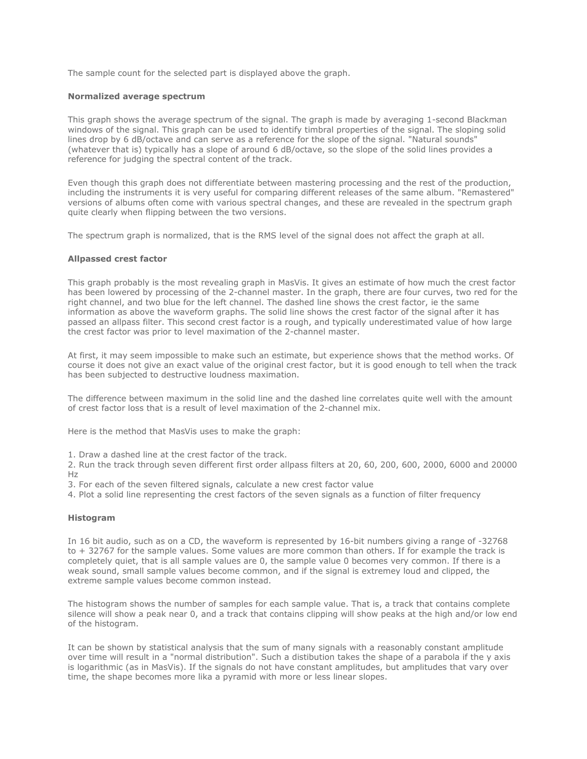The sample count for the selected part is displayed above the graph.

#### **Normalized average spectrum**

This graph shows the average spectrum of the signal. The graph is made by averaging 1-second Blackman windows of the signal. This graph can be used to identify timbral properties of the signal. The sloping solid lines drop by 6 dB/octave and can serve as a reference for the slope of the signal. "Natural sounds" (whatever that is) typically has a slope of around 6 dB/octave, so the slope of the solid lines provides a reference for judging the spectral content of the track.

Even though this graph does not differentiate between mastering processing and the rest of the production, including the instruments it is very useful for comparing different releases of the same album. "Remastered" versions of albums often come with various spectral changes, and these are revealed in the spectrum graph quite clearly when flipping between the two versions.

The spectrum graph is normalized, that is the RMS level of the signal does not affect the graph at all.

#### **Allpassed crest factor**

This graph probably is the most revealing graph in MasVis. It gives an estimate of how much the crest factor has been lowered by processing of the 2-channel master. In the graph, there are four curves, two red for the right channel, and two blue for the left channel. The dashed line shows the crest factor, ie the same information as above the waveform graphs. The solid line shows the crest factor of the signal after it has passed an allpass filter. This second crest factor is a rough, and typically underestimated value of how large the crest factor was prior to level maximation of the 2-channel master.

At first, it may seem impossible to make such an estimate, but experience shows that the method works. Of course it does not give an exact value of the original crest factor, but it is good enough to tell when the track has been subjected to destructive loudness maximation.

The difference between maximum in the solid line and the dashed line correlates quite well with the amount of crest factor loss that is a result of level maximation of the 2-channel mix.

Here is the method that MasVis uses to make the graph:

1. Draw a dashed line at the crest factor of the track.

2. Run the track through seven different first order allpass filters at 20, 60, 200, 600, 2000, 6000 and 20000 Hz

- 3. For each of the seven filtered signals, calculate a new crest factor value
- 4. Plot a solid line representing the crest factors of the seven signals as a function of filter frequency

#### **Histogram**

In 16 bit audio, such as on a CD, the waveform is represented by 16-bit numbers giving a range of -32768 to + 32767 for the sample values. Some values are more common than others. If for example the track is completely quiet, that is all sample values are 0, the sample value 0 becomes very common. If there is a weak sound, small sample values become common, and if the signal is extremey loud and clipped, the extreme sample values become common instead.

The histogram shows the number of samples for each sample value. That is, a track that contains complete silence will show a peak near 0, and a track that contains clipping will show peaks at the high and/or low end of the histogram.

It can be shown by statistical analysis that the sum of many signals with a reasonably constant amplitude over time will result in a "normal distribution". Such a distibution takes the shape of a parabola if the y axis is logarithmic (as in MasVis). If the signals do not have constant amplitudes, but amplitudes that vary over time, the shape becomes more lika a pyramid with more or less linear slopes.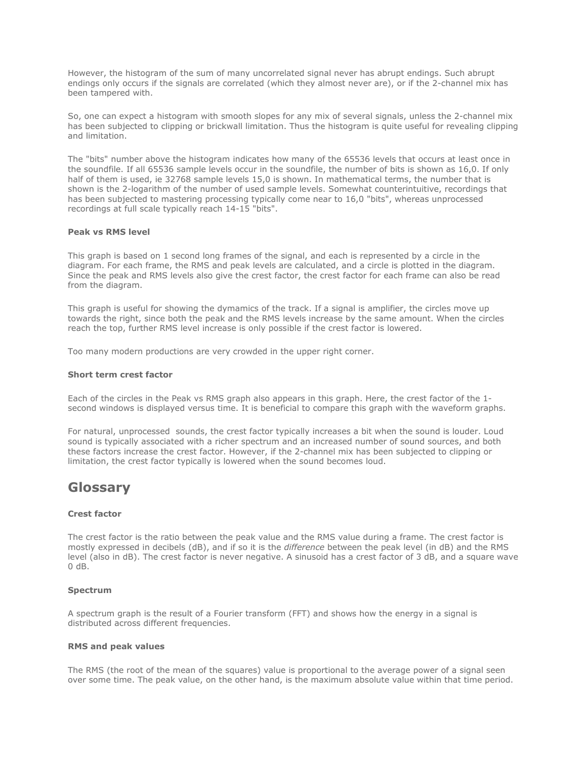However, the histogram of the sum of many uncorrelated signal never has abrupt endings. Such abrupt endings only occurs if the signals are correlated (which they almost never are), or if the 2-channel mix has been tampered with.

So, one can expect a histogram with smooth slopes for any mix of several signals, unless the 2-channel mix has been subjected to clipping or brickwall limitation. Thus the histogram is quite useful for revealing clipping and limitation.

The "bits" number above the histogram indicates how many of the 65536 levels that occurs at least once in the soundfile. If all 65536 sample levels occur in the soundfile, the number of bits is shown as 16,0. If only half of them is used, ie 32768 sample levels 15,0 is shown. In mathematical terms, the number that is shown is the 2-logarithm of the number of used sample levels. Somewhat counterintuitive, recordings that has been subjected to mastering processing typically come near to 16,0 "bits", whereas unprocessed recordings at full scale typically reach 14-15 "bits".

#### **Peak vs RMS level**

This graph is based on 1 second long frames of the signal, and each is represented by a circle in the diagram. For each frame, the RMS and peak levels are calculated, and a circle is plotted in the diagram. Since the peak and RMS levels also give the crest factor, the crest factor for each frame can also be read from the diagram.

This graph is useful for showing the dymamics of the track. If a signal is amplifier, the circles move up towards the right, since both the peak and the RMS levels increase by the same amount. When the circles reach the top, further RMS level increase is only possible if the crest factor is lowered.

Too many modern productions are very crowded in the upper right corner.

#### **Short term crest factor**

Each of the circles in the Peak vs RMS graph also appears in this graph. Here, the crest factor of the 1 second windows is displayed versus time. It is beneficial to compare this graph with the waveform graphs.

For natural, unprocessed sounds, the crest factor typically increases a bit when the sound is louder. Loud sound is typically associated with a richer spectrum and an increased number of sound sources, and both these factors increase the crest factor. However, if the 2-channel mix has been subjected to clipping or limitation, the crest factor typically is lowered when the sound becomes loud.

## **Glossary**

#### **Crest factor**

The crest factor is the ratio between the peak value and the RMS value during a frame. The crest factor is mostly expressed in decibels (dB), and if so it is the *difference* between the peak level (in dB) and the RMS level (also in dB). The crest factor is never negative. A sinusoid has a crest factor of 3 dB, and a square wave 0 dB.

#### **Spectrum**

A spectrum graph is the result of a Fourier transform (FFT) and shows how the energy in a signal is distributed across different frequencies.

#### **RMS and peak values**

The RMS (the root of the mean of the squares) value is proportional to the average power of a signal seen over some time. The peak value, on the other hand, is the maximum absolute value within that time period.